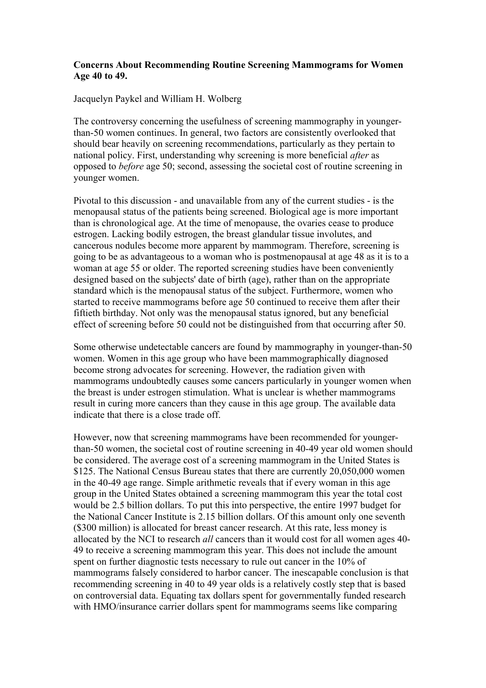## **Concerns About Recommending Routine Screening Mammograms for Women Age 40 to 49.**

Jacquelyn Paykel and William H. Wolberg

The controversy concerning the usefulness of screening mammography in youngerthan-50 women continues. In general, two factors are consistently overlooked that should bear heavily on screening recommendations, particularly as they pertain to national policy. First, understanding why screening is more beneficial *after* as opposed to *before* age 50; second, assessing the societal cost of routine screening in younger women.

Pivotal to this discussion - and unavailable from any of the current studies - is the menopausal status of the patients being screened. Biological age is more important than is chronological age. At the time of menopause, the ovaries cease to produce estrogen. Lacking bodily estrogen, the breast glandular tissue involutes, and cancerous nodules become more apparent by mammogram. Therefore, screening is going to be as advantageous to a woman who is postmenopausal at age 48 as it is to a woman at age 55 or older. The reported screening studies have been conveniently designed based on the subjects' date of birth (age), rather than on the appropriate standard which is the menopausal status of the subject. Furthermore, women who started to receive mammograms before age 50 continued to receive them after their fiftieth birthday. Not only was the menopausal status ignored, but any beneficial effect of screening before 50 could not be distinguished from that occurring after 50.

Some otherwise undetectable cancers are found by mammography in younger-than-50 women. Women in this age group who have been mammographically diagnosed become strong advocates for screening. However, the radiation given with mammograms undoubtedly causes some cancers particularly in younger women when the breast is under estrogen stimulation. What is unclear is whether mammograms result in curing more cancers than they cause in this age group. The available data indicate that there is a close trade off.

However, now that screening mammograms have been recommended for youngerthan-50 women, the societal cost of routine screening in 40-49 year old women should be considered. The average cost of a screening mammogram in the United States is \$125. The National Census Bureau states that there are currently 20,050,000 women in the 40-49 age range. Simple arithmetic reveals that if every woman in this age group in the United States obtained a screening mammogram this year the total cost would be 2.5 billion dollars. To put this into perspective, the entire 1997 budget for the National Cancer Institute is 2.15 billion dollars. Of this amount only one seventh (\$300 million) is allocated for breast cancer research. At this rate, less money is allocated by the NCI to research *all* cancers than it would cost for all women ages 40- 49 to receive a screening mammogram this year. This does not include the amount spent on further diagnostic tests necessary to rule out cancer in the 10% of mammograms falsely considered to harbor cancer. The inescapable conclusion is that recommending screening in 40 to 49 year olds is a relatively costly step that is based on controversial data. Equating tax dollars spent for governmentally funded research with HMO/insurance carrier dollars spent for mammograms seems like comparing